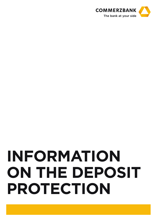

# **INFORMATION ON THE DEPOSIT PROTECTION**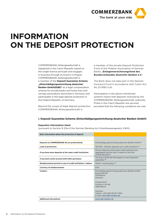

# **INFORMATION ON THE DEPOSIT PROTECTION**

COMMERZBANK Aktiengesellschaft is registered in the Czech Republic based on the single-licence principle and engages in business through its branch in Prague. COMMERZBANK Aktiengesellschaft is a member of the **Deposit Guarantee Scheme "(Entschädigungseinrichtung deutscher Banken GmbH(EdB)"** as a legal compensation scheme for private banks and home loan and savings associations domiciled in Germany and participates in the legal deposit protection in the Federal Republic of Germany.

Beyond the scope of legal deposit protection, COMMERZBANK Aktiengesellschaft is

a member of the private Deposit Protection Fund of the Federal Association of German Banks "**Einlagenversicherungsfond des Bundesverbandes deutscher Banken e.V.**"

The Bank does not take part in the Deposit Insurance Fund in accordance with Czech Act No 21/1992 Coll.

Participation in the above-mentioned systems means that deposits received by the COMMERZBANK Aktiengesellschaft, pobočka Praha in the Czech Republic are secured provided that the following conditions are met:

### **I. Deposit Guarantee Scheme (Entschädigungseinrichtung deutscher Banken GmbH)**

#### **Depositor information sheet**

(pursuant to Section § 23a of the German Banking Act (Kreditwesengesetz, KWG)

| Basic information about the protection of deposit             |                                                                                                                                                                                                                               |
|---------------------------------------------------------------|-------------------------------------------------------------------------------------------------------------------------------------------------------------------------------------------------------------------------------|
|                                                               |                                                                                                                                                                                                                               |
| Deposits at COMMERZBANK AG are protected by:                  | Entschädigungseinrichtung deutscher Banken GmbH (1)                                                                                                                                                                           |
| Limit of protection:                                          | 100 000,- EUR per depositor per credit institution <sup>(2)</sup>                                                                                                                                                             |
| If you have more deposits at the same credit institution:     | All your deposits at the same credit institution are<br>aggregated and the total is subject to the limit<br>of EUR 100 000 <sup>(2)</sup>                                                                                     |
| If you have a joint account with other person(s):             | The limit of EUR 100 000 applies to each depositor<br>separately <sup>(3)</sup>                                                                                                                                               |
| Reimbursement period in case of credit institution's failure: | Within 7 working days (4)                                                                                                                                                                                                     |
| <b>Currency of reimbursement:</b>                             | <b>EUR</b>                                                                                                                                                                                                                    |
| Contact:                                                      | Entschädigungseinrichtung deutscher Banken GmbH<br>Burgstraße 28<br>10178 Berlin<br>Germany<br>Postanschrift<br>Postfach 11 04 48<br>10834 Berlin<br>Germany<br>Telefon: +49 (0)30 59 00 11 960<br>E-mail: info@edb-banken.de |
| <b>Additional information:</b>                                | www.edb-banken.de                                                                                                                                                                                                             |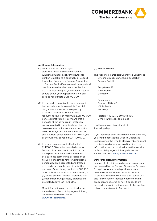

#### **Additional information**

- (1) Your deposit is covered by a statutory Deposit Guarantee Scheme (Entschädigungseinrichtung deutscher Banken GmbH) and a contractu-al Deposit Protection Fund of the Federal Association of German Banks Einlagenversicherungsfond des Bundesverbandes deutscher Banken e.V.. If an insolvency of your creditinstitution should occur, your deposits would in any case be repaid upto EUR 100 000.
- (2) If a deposit is unavailable because a credit institution is unable to meet its financial obligations, depositors are repaid by a Deposit Guarantee Scheme. This repayment covers at maximum EUR 100 000 per credit institution. This means that all deposits at the same credit institution are aggregated in order to determine the coverage level. If, for instance, a depositor holds a savings account with EUR 90 000 and a current account with EUR 20 000, he or she will only be repaid EUR 100 000.
- (3) In case of joint accounts, the limit of EUR 100 000 applies to each depositor. Deposits in an account to which two or more persons are entitled as members of a business partnership, association or grouping of a similar nature without legal personality, are aggregated and treated as if made by a single depositor for the purpose of calculating the limit of EUR 100 000. In those cases listed in Section 8 (2) to (4) of the German Deposit Guarantee Act (Einlagensicherungsgesetz) deposits are protected above EUR 100 000.

More information can be obtained from the website of Entschädigungseinrichtung deutscher Banken GmbH at www.edb-banken.de.

(4) Reimbursement

The responsible Deposit Guarantee Scheme is Entschädigungseinrichtung deutscher Banken GmbH

Burgstraße 28 10178 Berlin Germany

Postanschrift Postfach 11 04 48 10834 Berlin Germany

Telefon: +49 (0)30 59 00 11 960 E-mail: info@edb-banken.de

It will repay your deposits within 7 working days.

If you have not been repaid within this deadline, you should contact the Deposit Guarantee Scheme since the time to claim reimburse-ment may be barred after a certain time limit. More information can be obtained from the website of Entschädigungseinrichtung deutscher Banken GmbH at info@edb-banken.de.

#### **Other important information:**

In general, all retail depositors and businesses are covered by the Deposit Guarantee Scheme. Exceptions for certain deposits are stated on the website of the responsible Deposit Guarantee Scheme. Your credit institution will also inform you on request whether certain products are covered or not. If deposits are covered, the credit institution shall also confirm this on the statement of account.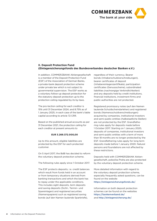

## **II. Deposit Protection Fund (Einlagensicherungsfonds des Bundesverbandes deutscher Banken e.V.)**

In addition, COMMERZBANK Aktiengesellschaft is a member of the Deposit Protection Fund (ESF) of the Association of German Banks, a private-bank deposit protection scheme under private law which is not subject to governmental supervision. The ESF works as a voluntary follow-up deposit protection for the statutory deposit protection up to the protection ceiling regulated by its by-laws.

The pro-tection ceiling for each creditor is 15% until 31 December 2024, and 8.75% as of 1 January 2025, in each case of the bank's liable capital according to article 72 CRR.

Based on the published annual accounts as per 31 December 2021, the protection ceiling for each creditor at present amounts to

#### **EUR 3.269.372.000,00**

Up to this amount, eligible liabilities are protected by the ESF for each protected customer.

On 5 April 2017, the BdB has decided to reform the voluntary deposit protection scheme.

The following rules apply since 1 October 2017.

The ESF protects deposits, i.e. credit balances which result from funds held in an account or from temporary situations derived from banking transactions and which the bank has to repay under the applicable conditions. This includes sight deposits, term deposits and saving deposits (Sicht-, Termin- und Spareinlagen) and registered securities (Namenspapiere) such as registered saving bonds (auf den Namen lautende Sparbriefe),

regardless of their currency. Bearer bonds (Inhaberschuldverschreibungen), bearer certificates of deposit (Inhabereinlagenzertifikate), participation certificates (Genussscheine), subordinated liabilities (nachrangige Verbindlichkeiten) and any deposits held by credit institutions, financial institutions, investment firms and public authorities are not protected.

Registered promissory notes (auf den Namen lautende Schuldscheindarlehen) and registered bonds (Namensschuldverschreibungen) acquired by companies, institutional investors and semi-public entities (halbstaatliche Stellen) are not protected by the ESF. Grandfathering rules apply for deposits made before 1 October 2017. Starting on 1 January 2020, deposits of companies, institutional investors and semi-public entities with a term of more than 18 months are no longer protected by the ESF. Grandfathering rules apply for long term deposits made before 1 January 2020. Natural persons and foundations are not affected by these restrictions.

Deposits held with COMMERZBANK Aktiengesellschaft, pobočka Praha are also protected by the voluntary deposit protection scheme.

More detailed information with regard to the voluntary deposit protection scheme, especially frequently asked questions, can be found on the website https://einlagensicherungsfonds.de/.

Information on both deposit protection schemes can be found on the websites https://bankenverband.de/ and http://einlagensicherung.de/.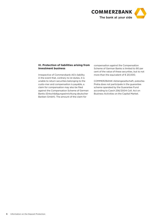

# **III. Protection of liabilities arising from investment business**

Irrespective of Commerzbank AG's liability in the event that, contrary to ist duties, it is unable to return securities belonging to the custo-mer and compensation is payable, a claim for compensation may also be filed against the Compensation Scheme of German Banks (Entschädigungseinrichtung deutscher Banken GmbH). The amount of the claim for

compensation against the Compensation Scheme of German Banks is limited to 90 per cent of the value of these securities, but to not more than the equivalent of  $\epsilon$  20,000.

COMMERZBANK Aktiengesellschaft, pobočka Praha does not participate in the guarantee scheme operated by the Guarantee Fund according to Czech 256/2004 Coll. Act on Business Activities on the Capital Market.